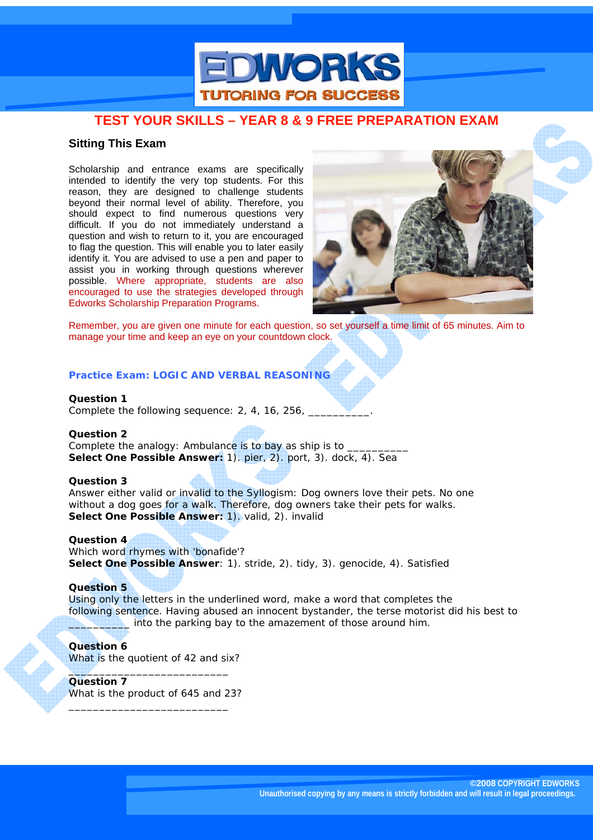

## **Sitting This Exam**

Scholarship and entrance exams are specifically intended to identify the very top students. For this reason, they are designed to challenge students beyond their normal level of ability. Therefore, you should expect to find numerous questions very difficult. If you do not immediately understand a question and wish to return to it, you are encouraged to flag the question. This will enable you to later easily identify it. You are advised to use a pen and paper to assist you in working through questions wherever possible. Where appropriate, students are also encouraged to use the strategies developed through Edworks Scholarship Preparation Programs.



Remember, you are given one minute for each question, so set yourself a time limit of 65 minutes. Aim to manage your time and keep an eye on your countdown clock.

## **Practice Exam: LOGIC AND VERBAL REASONING**

**Question 1**  Complete the following sequence: 2, 4, 16, 256,

**Question 2** 

Complete the analogy: Ambulance is to bay as ship is to **Select One Possible Answer:** 1). pier, 2). port, 3). dock, 4). Sea

#### **Question 3**

Answer either valid or invalid to the Syllogism: Dog owners love their pets. No one without a dog goes for a walk. Therefore, dog owners take their pets for walks. **Select One Possible Answer:** 1). valid, 2). invalid

**Question 4**  Which word rhymes with 'bonafide'?

**Select One Possible Answer**: 1). stride, 2). tidy, 3). genocide, 4). Satisfied

#### **Question 5**

Using only the letters in the underlined word, make a word that completes the following sentence. Having abused an innocent bystander, the terse motorist did his best to \_\_\_\_\_\_\_\_\_\_ into the parking bay to the amazement of those around him.

©2008 COPYRIGHT EDWORKS ACTIVE LEARNING

#### **Question 6**

What is the quotient of 42 and six?

\_\_\_\_\_\_\_\_\_\_\_\_\_\_\_\_\_\_\_\_\_\_\_\_\_\_ **Question 7**  What is the product of 645 and 23?

\_\_\_\_\_\_\_\_\_\_\_\_\_\_\_\_\_\_\_\_\_\_\_\_\_\_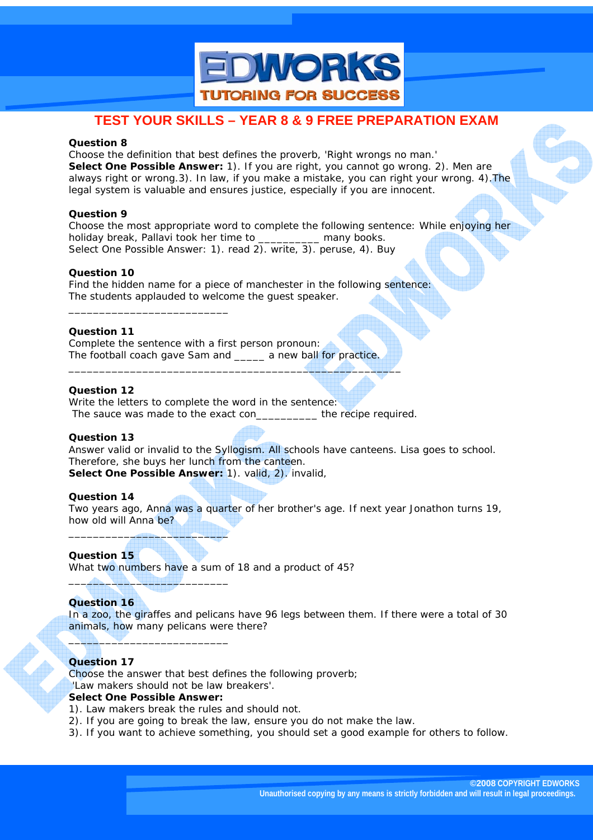

#### **Question 8**

Choose the definition that best defines the proverb, 'Right wrongs no man.' **Select One Possible Answer:** 1). If you are right, you cannot go wrong. 2). Men are always right or wrong.3). In law, if you make a mistake, you can right your wrong. 4).The legal system is valuable and ensures justice, especially if you are innocent.

### **Question 9**

Choose the most appropriate word to complete the following sentence: While enjoying her holiday break, Pallavi took her time to many books. Select One Possible Answer: 1). read 2). write, 3). peruse, 4). Buy

### **Question 10**

Find the hidden name for a piece of manchester in the following sentence: The students applauded to welcome the guest speaker.

## **Question 11**

\_\_\_\_\_\_\_\_\_\_\_\_\_\_\_\_\_\_\_\_\_\_\_\_\_\_

Complete the sentence with a first person pronoun: The football coach gave Sam and \_\_\_\_\_ a new ball for practice.

## **Question 12**

Write the letters to complete the word in the sentence: The sauce was made to the exact con The recipe required.

\_\_\_\_\_\_\_\_\_\_\_\_\_\_\_\_\_\_\_\_\_\_\_\_\_\_\_\_\_\_\_\_\_\_\_\_\_\_\_\_\_\_\_\_\_\_\_\_\_\_\_\_\_\_

#### **Question 13**

Answer valid or invalid to the Syllogism. All schools have canteens. Lisa goes to school. Therefore, she buys her lunch from the canteen. **Select One Possible Answer:** 1). valid, 2). invalid,

#### **Question 14**

Two years ago, Anna was a quarter of her brother's age. If next year Jonathon turns 19, how old will Anna be?

#### **Question 15**

What two numbers have a sum of 18 and a product of 45?

## **Question 16**

In a zoo, the giraffes and pelicans have 96 legs between them. If there were a total of 30 animals, how many pelicans were there?

## **Question 17**

Choose the answer that best defines the following proverb;

'Law makers should not be law breakers'.

### **Select One Possible Answer:**

\_\_\_\_\_\_\_\_\_\_\_\_\_\_\_\_\_\_\_\_\_\_\_\_\_\_

 $\qquad \qquad \blacksquare$ 

 $\blacksquare$ 

- 1). Law makers break the rules and should not.
- 2). If you are going to break the law, ensure you do not make the law.
- 3). If you want to achieve something, you should set a good example for others to follow.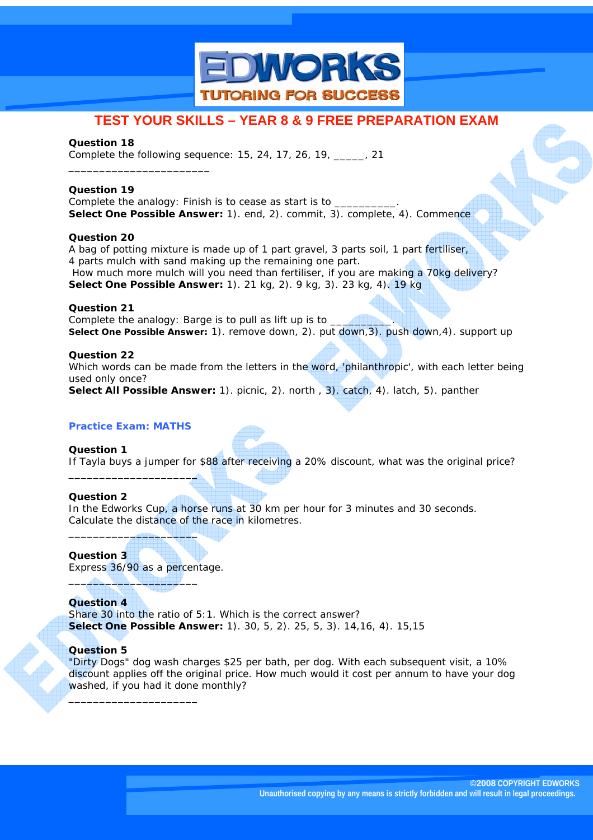

## **Question 18**

\_\_\_\_\_\_\_\_\_\_\_\_\_\_\_\_\_\_\_\_\_\_\_

Complete the following sequence: 15, 24, 17, 26, 19, \_\_\_\_\_, 21

## **Question 19**

Complete the analogy: Finish is to cease as start is to **Select One Possible Answer:** 1). end, 2). commit, 3). complete, 4). Commence

### **Question 20**

A bag of potting mixture is made up of 1 part gravel, 3 parts soil, 1 part fertiliser, 4 parts mulch with sand making up the remaining one part. How much more mulch will you need than fertiliser, if you are making a 70kg delivery? **Select One Possible Answer:** 1). 21 kg, 2). 9 kg, 3). 23 kg, 4). 19 kg

### **Question 21**

Complete the analogy: Barge is to pull as lift up is to  $\equiv$ **Select One Possible Answer:** 1). remove down, 2). put down,3). push down,4). support up

### **Question 22**

Which words can be made from the letters in the word, 'philanthropic', with each letter being used only once?

**Select All Possible Answer:** 1). picnic, 2). north , 3). catch, 4). latch, 5). panther

## **Practice Exam: MATHS**

**Question 1**  If Tayla buys a jumper for \$88 after receiving a 20% discount, what was the original price? \_\_\_\_\_\_\_\_\_\_\_\_\_\_\_\_\_\_\_\_\_

## **Question 2**

In the Edworks Cup, a horse runs at 30 km per hour for 3 minutes and 30 seconds. Calculate the distance of the race in kilometres.

**Question 3** 

Express 36/90 as a percentage.

\_\_\_\_\_\_\_\_\_\_\_\_\_\_\_\_\_\_\_\_\_

 $\qquad \qquad \blacksquare$ 

\_\_\_\_\_\_\_\_\_\_\_\_\_\_\_\_\_\_\_\_\_

**Question 4**  Share 30 into the ratio of 5:1. Which is the correct answer? **Select One Possible Answer:** 1). 30, 5, 2). 25, 5, 3). 14,16, 4). 15,15

## **Question 5**

"Dirty Dogs" dog wash charges \$25 per bath, per dog. With each subsequent visit, a 10% discount applies off the original price. How much would it cost per annum to have your dog washed, if you had it done monthly?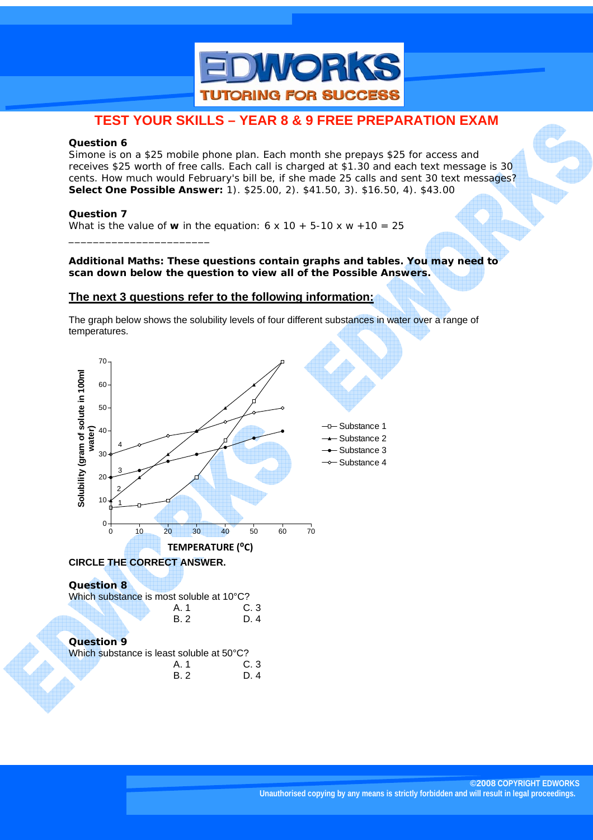

#### **Question 6**

Simone is on a \$25 mobile phone plan. Each month she prepays \$25 for access and receives \$25 worth of free calls. Each call is charged at \$1.30 and each text message is 30 cents. How much would February's bill be, if she made 25 calls and sent 30 text messages? **Select One Possible Answer:** 1). \$25.00, 2). \$41.50, 3). \$16.50, 4). \$43.00

#### **Question 7**

\_\_\_\_\_\_\_\_\_\_\_\_\_\_\_\_\_\_\_\_\_\_\_

What is the value of **w** in the equation:  $6 \times 10 + 5-10 \times w + 10 = 25$ 

#### **Additional Maths: These questions contain graphs and tables. You may need to scan down below the question to view all of the Possible Answers.**

### **The next 3 questions refer to the following information:**

The graph below shows the solubility levels of four different substances in water over a range of temperatures.

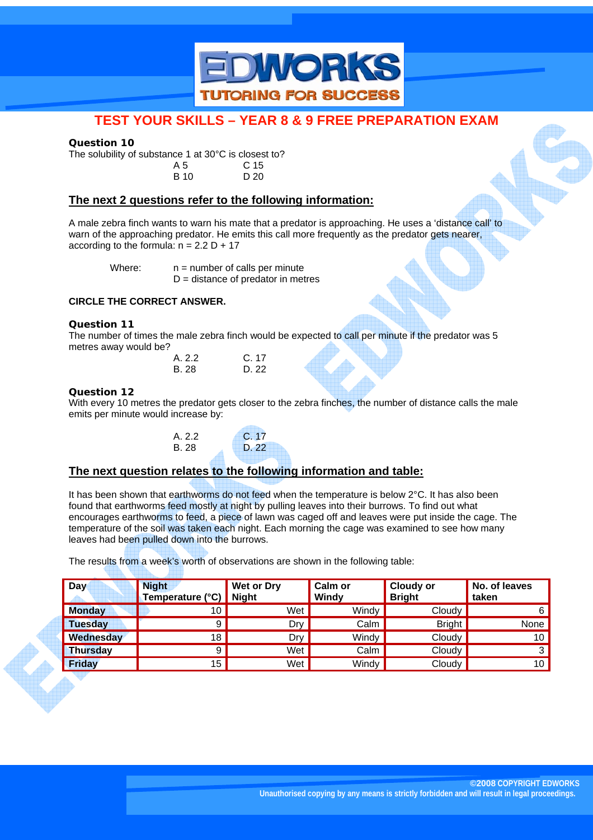

### **Question 10**

The solubility of substance 1 at  $30^{\circ}$ C is closest to?<br>A 5 C 15 A 5 C 15

| , , J       | <u>- 5</u> |
|-------------|------------|
| <b>B</b> 10 | D 20       |
|             |            |

## **The next 2 questions refer to the following information:**

A male zebra finch wants to warn his mate that a predator is approaching. He uses a 'distance call' to warn of the approaching predator. He emits this call more frequently as the predator gets nearer, according to the formula:  $n = 2.2 D + 17$ 

Where:  $n = number of calls per minute$  $D =$  distance of predator in metres

### **CIRCLE THE CORRECT ANSWER.**

### **Question 11**

The number of times the male zebra finch would be expected to call per minute if the predator was 5 metres away would be?

| A. 2.2 | C. 17           |
|--------|-----------------|
| B. 28  | D <sub>22</sub> |

#### **Question 12**

With every 10 metres the predator gets closer to the zebra finches, the number of distance calls the male emits per minute would increase by:

| A. 2.2 | C. 17 |
|--------|-------|
| B. 28  | D. 22 |
|        |       |

## **The next question relates to the following information and table:**

It has been shown that earthworms do not feed when the temperature is below 2°C. It has also been found that earthworms feed mostly at night by pulling leaves into their burrows. To find out what encourages earthworms to feed, a piece of lawn was caged off and leaves were put inside the cage. The temperature of the soil was taken each night. Each morning the cage was examined to see how many leaves had been pulled down into the burrows.

The results from a week's worth of observations are shown in the following table:

| Day             | <b>Night</b><br>Temperature (°C) | Wet or Dry<br>Night | Calm or<br>Windy | Cloudy or<br><b>Bright</b> | No. of leaves<br>taken |
|-----------------|----------------------------------|---------------------|------------------|----------------------------|------------------------|
| <b>Monday</b>   | 10 <sub>h</sub>                  | Wet                 | Windy            | Cloudy                     | 6                      |
| <b>Tuesday</b>  | 9                                | Dry                 | Calm             | <b>Bright</b>              | None                   |
| Wednesday       | 18                               | Dry                 | Windy            | Cloudy                     | 10                     |
| <b>Thursday</b> | 9                                | Wet                 | Calm             | Cloudy                     | 3                      |
| <b>Friday</b>   | 15                               | Wet                 | Windy            | Cloudy                     | 10                     |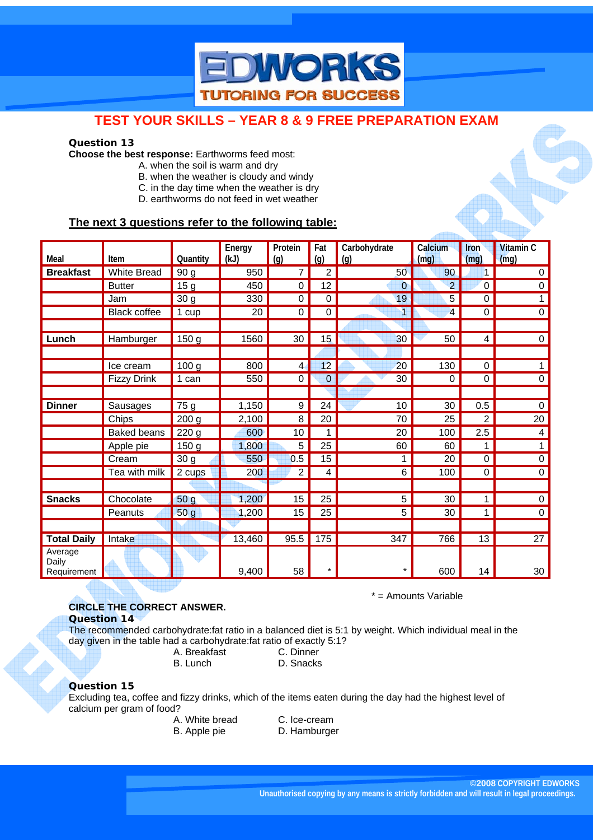

#### **Question 13**

**Choose the best response:** Earthworms feed most:

- A. when the soil is warm and dry
- B. when the weather is cloudy and windy
- C. in the day time when the weather is dry
- D. earthworms do not feed in wet weather

## **The next 3 questions refer to the following table:**

| Meal                            | Item               | Quantity           | Energy<br>(kJ) | Protein<br>(q) | Fat<br>(q)     | Carbohydrate<br>(g) | Calcium<br>(mq) | Iron<br>(mq)     | <b>Vitamin C</b><br>(mg) |
|---------------------------------|--------------------|--------------------|----------------|----------------|----------------|---------------------|-----------------|------------------|--------------------------|
| <b>Breakfast</b>                | <b>White Bread</b> | 90 g               | 950            | $\overline{7}$ | $\overline{2}$ | 50                  | 90              | 1                | $\pmb{0}$                |
|                                 | <b>Butter</b>      | $\overline{15}$ g  | 450            | 0              | 12             | $\overline{0}$      | $\overline{2}$  | $\pmb{0}$        | $\pmb{0}$                |
|                                 | Jam                | 30 <sub>g</sub>    | 330            | 0              | 0              | 19                  | 5               | 0                | 1                        |
|                                 | Black coffee       | 1 cup              | 20             | 0              | 0              | 1                   | 4               | $\mathbf 0$      | $\pmb{0}$                |
|                                 |                    |                    |                |                |                |                     |                 |                  |                          |
| Lunch                           | Hamburger          | 150 <sub>g</sub>   | 1560           | 30             | 15             | 30                  | 50              | 4                | $\pmb{0}$                |
|                                 |                    |                    |                |                |                |                     |                 |                  |                          |
|                                 | Ice cream          | 100 <sub>g</sub>   | 800            | $\overline{4}$ | 12             | 20                  | 130             | $\mathbf 0$      | $\mathbf{1}$             |
|                                 | <b>Fizzy Drink</b> | 1 can              | 550            | 0              | $\overline{0}$ | 30                  | 0               | $\mathbf 0$      | $\pmb{0}$                |
|                                 |                    |                    |                |                |                |                     |                 |                  |                          |
| <b>Dinner</b>                   | Sausages           | 75 g               | 1,150          | 9              | 24             | 10                  | 30              | 0.5              | $\mathbf 0$              |
|                                 | Chips              | $\overline{200}$ g | 2,100          | 8              | 20             | 70                  | $\overline{25}$ | $\overline{2}$   | 20                       |
|                                 | <b>Baked beans</b> | 220 <sub>g</sub>   | 600            | 10             | $\mathbf{1}$   | 20                  | 100             | 2.5              | $\overline{\mathbf{4}}$  |
|                                 | Apple pie          | 150 g              | 1,800          | 5              | 25             | 60                  | 60              | 1                | 1                        |
|                                 | Cream              | 30 <sub>g</sub>    | 550            | 0.5            | 15             | 1                   | 20              | 0                | $\mathbf 0$              |
|                                 | Tea with milk      | 2 cups             | 200            | $\overline{2}$ | 4              | 6                   | 100             | $\boldsymbol{0}$ | $\pmb{0}$                |
|                                 |                    |                    |                |                |                |                     |                 |                  |                          |
| <b>Snacks</b>                   | Chocolate          | 50 <sub>g</sub>    | 1,200          | 15             | 25             | $\overline{5}$      | 30              | 1                | $\overline{0}$           |
|                                 | Peanuts            | 50 g               | 1,200          | 15             | 25             | $\overline{5}$      | 30              | 1                | $\pmb{0}$                |
|                                 |                    |                    |                |                |                |                     |                 |                  |                          |
| <b>Total Daily</b>              | Intake             |                    | 13,460         | 95.5           | 175            | 347                 | 766             | 13               | 27                       |
| Average<br>Daily<br>Requirement |                    |                    | 9,400          | 58             | *              | $^\star$            | 600             | 14               | 30                       |

#### **CIRCLE THE CORRECT ANSWER.**

**Question 14** 

The recommended carbohydrate:fat ratio in a balanced diet is 5:1 by weight. Which individual meal in the day given in the table had a carbohydrate:fat ratio of exactly 5:1?

 A. Breakfast C. Dinner B. Lunch D. Snacks

#### **Question 15**

Excluding tea, coffee and fizzy drinks, which of the items eaten during the day had the highest level of calcium per gram of food?

©2008 COPYRIGHT EDWORKS ACTIVE LEARNING

| A. White bread |
|----------------|
| R. Annle nie   |

C. Ice-cream B. Apple pie **D. Hamburger**  \* = Amounts Variable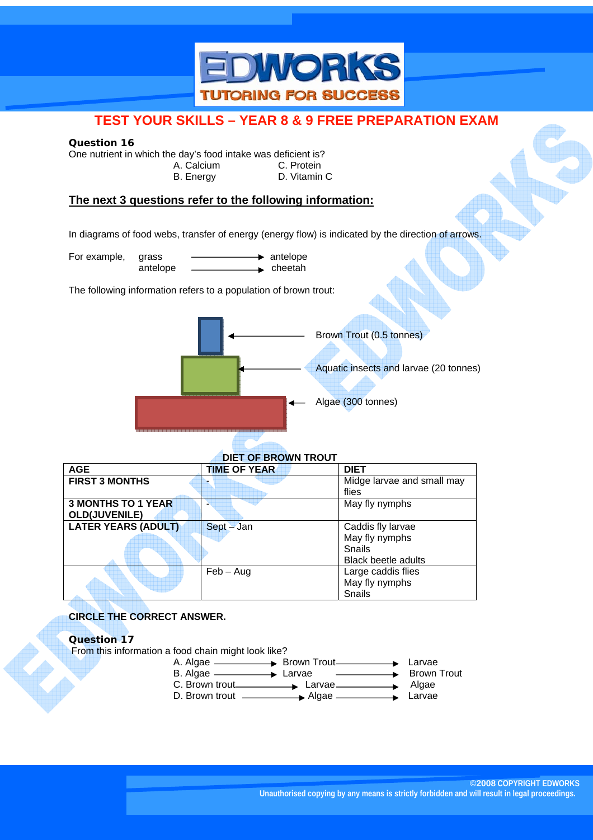

#### **Question 16**

One nutrient in which the day's food intake was deficient is?

 A. Calcium C. Protein B. Energy **D. Vitamin C** 

## **The next 3 questions refer to the following information:**

In diagrams of food webs, transfer of energy (energy flow) is indicated by the direction of arrows.

For example, grass  $\longrightarrow$  antelope antelope — **Acceptant** cheetah

The following information refers to a population of brown trout:



## **DIET OF BROWN TROUT**

| <b>AGE</b>                 | <b>TIME OF YEAR</b> | <b>DIET</b>                |
|----------------------------|---------------------|----------------------------|
| <b>FIRST 3 MONTHS</b>      |                     | Midge larvae and small may |
|                            |                     | flies                      |
| <b>3 MONTHS TO 1 YEAR</b>  |                     | May fly nymphs             |
| <b>OLD(JUVENILE)</b>       |                     |                            |
| <b>LATER YEARS (ADULT)</b> | Sept - Jan          | Caddis fly larvae          |
|                            |                     | May fly nymphs             |
|                            |                     | Snails                     |
|                            |                     | <b>Black beetle adults</b> |
|                            | $Feb - Aug$         | Large caddis flies         |
|                            |                     | May fly nymphs             |
|                            |                     | Snails                     |

## **CIRCLE THE CORRECT ANSWER.**

## **Question 17**

From this information a food chain might look like?

- A. Algae **A. Algae Brown Trout** Brown Trout B. Algae **Larvae Larvae Brown Trout**
- C. Brown trout **Larvae Larvae Algae** D. Brown trout **Algae Algae Larvae**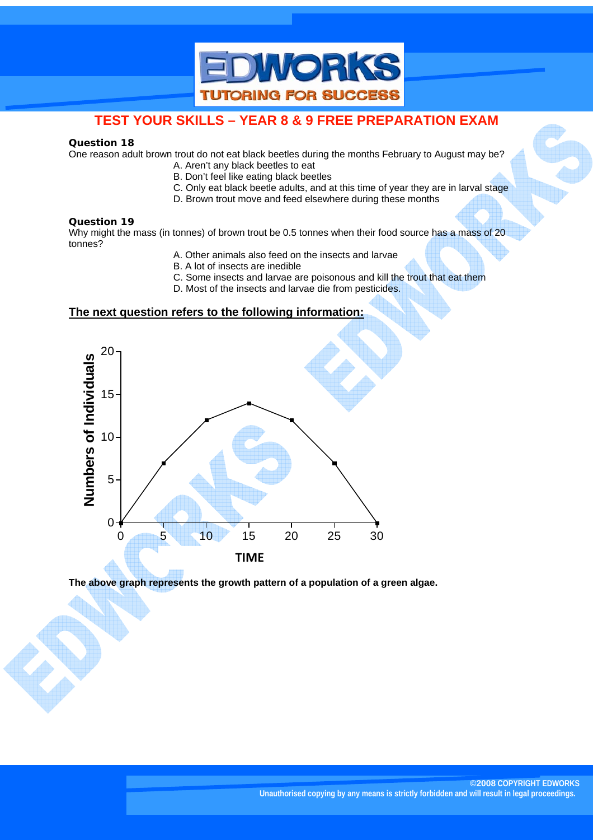

#### **Question 18**

One reason adult brown trout do not eat black beetles during the months February to August may be?

- A. Aren't any black beetles to eat
- B. Don't feel like eating black beetles
- C. Only eat black beetle adults, and at this time of year they are in larval stage
- D. Brown trout move and feed elsewhere during these months

#### **Question 19**

Why might the mass (in tonnes) of brown trout be 0.5 tonnes when their food source has a mass of 20 tonnes?

- A. Other animals also feed on the insects and larvae
- B. A lot of insects are inedible
- C. Some insects and larvae are poisonous and kill the trout that eat them
- D. Most of the insects and larvae die from pesticides.

## **The next question refers to the following information:**



**The above graph represents the growth pattern of a population of a green algae.**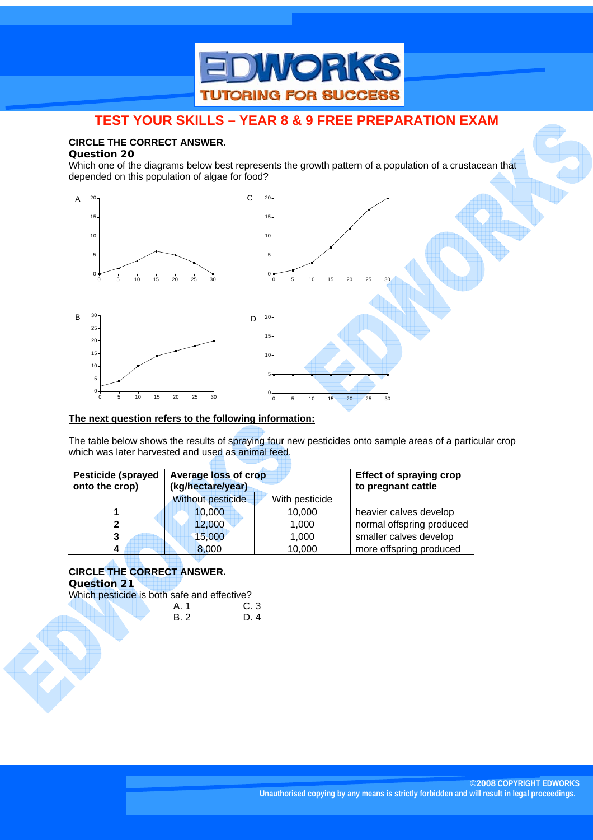

## **CIRCLE THE CORRECT ANSWER.**

#### **Question 20**

Which one of the diagrams below best represents the growth pattern of a population of a crustacean that depended on this population of algae for food?



#### **The next question refers to the following information:**

The table below shows the results of spraying four new pesticides onto sample areas of a particular crop which was later harvested and used as animal feed.

©2008 COPYRIGHT EDWORKS ACTIVE LEARNING

| <b>Pesticide (sprayed</b><br>onto the crop) | Average loss of crop<br>(kg/hectare/year) |                | <b>Effect of spraying crop</b><br>to pregnant cattle |
|---------------------------------------------|-------------------------------------------|----------------|------------------------------------------------------|
|                                             | <b>Without pesticide</b>                  | With pesticide |                                                      |
|                                             | 10,000                                    | 10,000         | heavier calves develop                               |
|                                             | 12,000                                    | 1,000          | normal offspring produced                            |
| 3                                           | 15,000                                    | 1,000          | smaller calves develop                               |
| 4                                           | 8,000                                     | 10,000         | more offspring produced                              |

#### **CIRCLE THE CORRECT ANSWER. Question 21**  Which pesticide is both safe and effective?  $A.1$  C. 3

| ∸<br>٦. | <br>$\overline{\phantom{a}}$ |
|---------|------------------------------|
| R 2     | D.<br>$\boldsymbol{\Lambda}$ |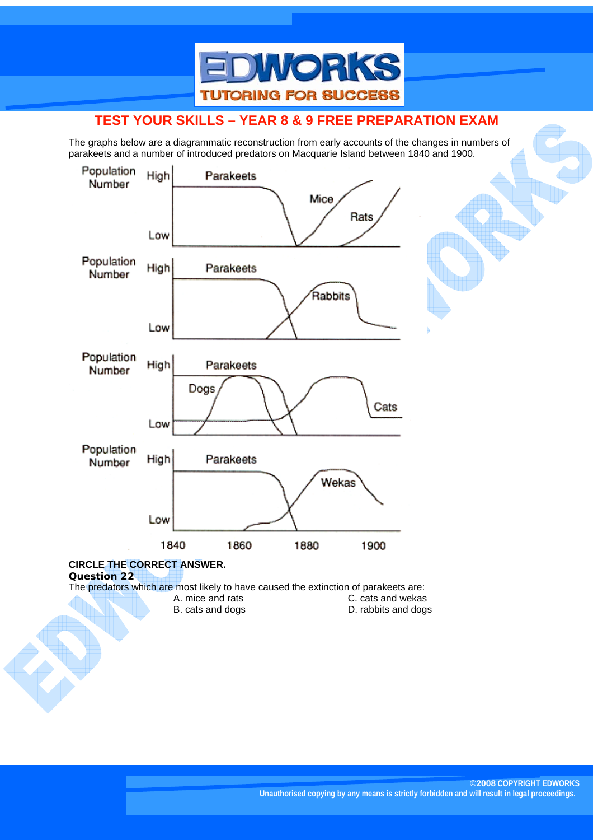

The graphs below are a diagrammatic reconstruction from early accounts of the changes in numbers of parakeets and a number of introduced predators on Macquarie Island between 1840 and 1900.



A. mice and rats C. cats and wekas<br>B. cats and dogs B. cats and dogs D. rabbits and dogs D. rabbits and dogs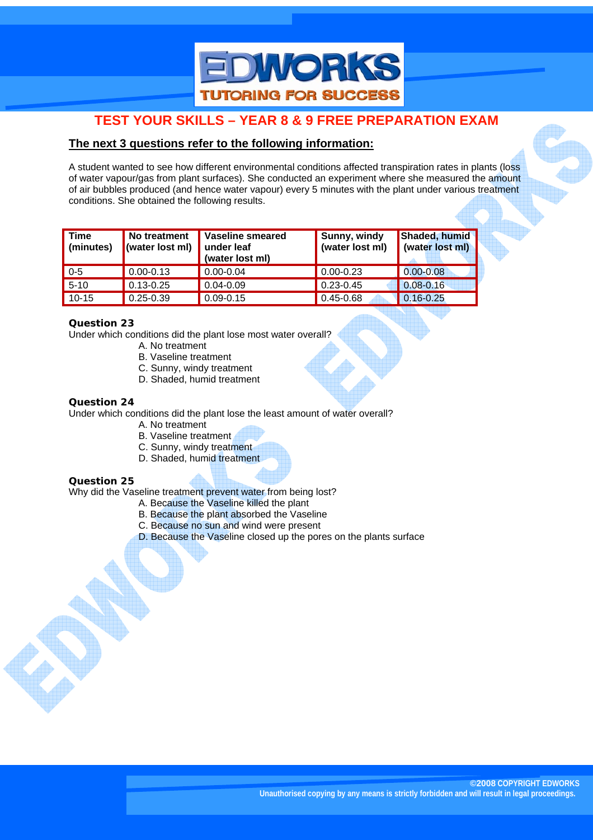

## **The next 3 questions refer to the following information:**

A student wanted to see how different environmental conditions affected transpiration rates in plants (loss of water vapour/gas from plant surfaces). She conducted an experiment where she measured the amount of air bubbles produced (and hence water vapour) every 5 minutes with the plant under various treatment conditions. She obtained the following results.

| <b>Time</b><br>(minutes) | No treatment<br>(water lost ml) | Vaseline smeared<br>under leaf<br>(water lost ml) | Sunny, windy<br>(water lost ml) | Shaded, humid<br>(water lost ml) |
|--------------------------|---------------------------------|---------------------------------------------------|---------------------------------|----------------------------------|
| $0 - 5$                  | $0.00 - 0.13$                   | $0.00 - 0.04$                                     | $\big  0.00 - 0.23 \big $       | $0.00 - 0.08$                    |
| $5 - 10$                 | $0.13 - 0.25$                   | $0.04 - 0.09$                                     | $0.23 - 0.45$                   | $0.08 - 0.16$                    |
| $10 - 15$                | $0.25 - 0.39$                   | $0.09 - 0.15$                                     | 0.45-0.68                       | $0.16 - 0.25$                    |

## **Question 23**

Under which conditions did the plant lose most water overall?

- A. No treatment
- B. Vaseline treatment
- C. Sunny, windy treatment
- D. Shaded, humid treatment

### **Question 24**

Under which conditions did the plant lose the least amount of water overall?

- A. No treatment
- B. Vaseline treatment
- C. Sunny, windy treatment
- D. Shaded, humid treatment

## **Question 25**

Why did the Vaseline treatment prevent water from being lost?

- A. Because the Vaseline killed the plant
- B. Because the plant absorbed the Vaseline
- C. Because no sun and wind were present
- D. Because the Vaseline closed up the pores on the plants surface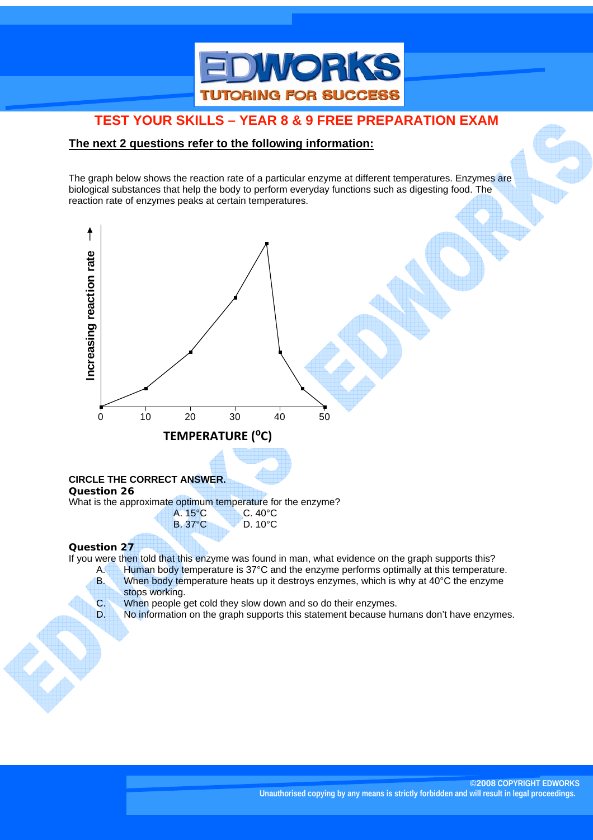

## **The next 2 questions refer to the following information:**

The graph below shows the reaction rate of a particular enzyme at different temperatures. Enzymes are biological substances that help the body to perform everyday functions such as digesting food. The reaction rate of enzymes peaks at certain temperatures.



- A. Human body temperature is 37°C and the enzyme performs optimally at this temperature. B. When body temperature heats up it destroys enzymes, which is why at 40°C the enzyme
	- stops working.
- C. When people get cold they slow down and so do their enzymes.
- D. No information on the graph supports this statement because humans don't have enzymes.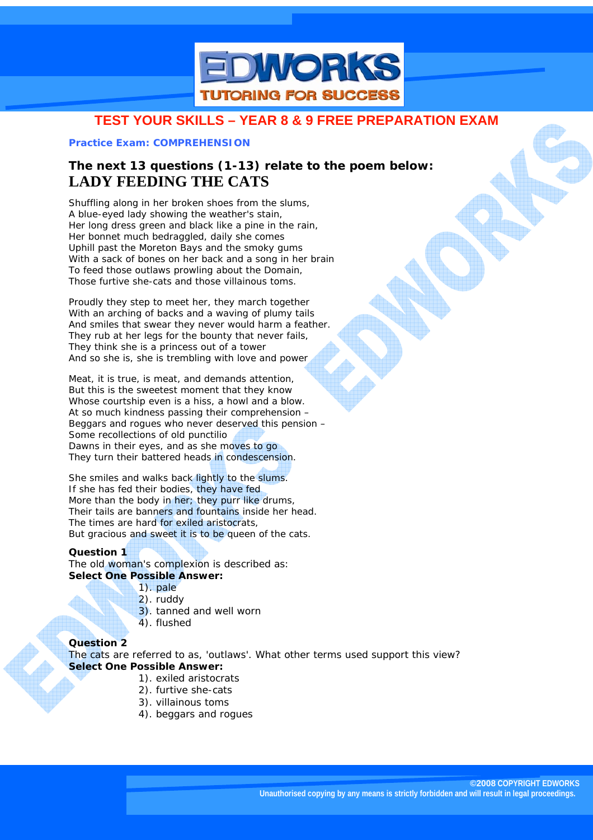

### **Practice Exam: COMPREHENSION**

# **The next 13 questions (1-13) relate to the poem below: LADY FEEDING THE CATS**

Shuffling along in her broken shoes from the slums, A blue-eyed lady showing the weather's stain, Her long dress green and black like a pine in the rain, Her bonnet much bedraggled, daily she comes Uphill past the Moreton Bays and the smoky gums With a sack of bones on her back and a song in her brain To feed those outlaws prowling about the Domain, Those furtive she-cats and those villainous toms.

Proudly they step to meet her, they march together With an arching of backs and a waving of plumy tails And smiles that swear they never would harm a feather. They rub at her legs for the bounty that never fails, They think she is a princess out of a tower And so she is, she is trembling with love and power

Meat, it is true, is meat, and demands attention, But this is the sweetest moment that they know Whose courtship even is a hiss, a howl and a blow. At so much kindness passing their comprehension – Beggars and rogues who never deserved this pension – Some recollections of old punctilio Dawns in their eyes, and as she moves to go They turn their battered heads in condescension.

She smiles and walks back lightly to the slums. If she has fed their bodies, they have fed More than the body in her; they purr like drums, Their tails are banners and fountains inside her head. The times are hard for exiled aristocrats, But gracious and sweet it is to be queen of the cats.

## **Question 1**

The old woman's complexion is described as: **Select One Possible Answer:** 

- 1). pale
	- 2). ruddy
	- 3). tanned and well worn
	- 4). flushed

#### **Question 2**

The cats are referred to as, 'outlaws'. What other terms used support this view? **Select One Possible Answer:** 

- 1). exiled aristocrats
- 2). furtive she-cats
- 3). villainous toms
- 4). beggars and rogues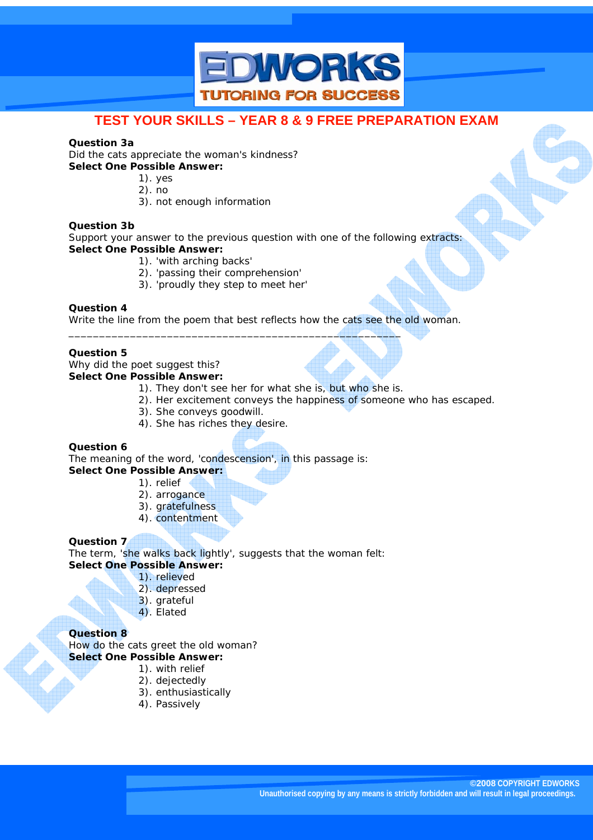

#### **Question 3a**

Did the cats appreciate the woman's kindness? **Select One Possible Answer:** 

- 1). yes
- 2). no
- 3). not enough information

#### **Question 3b**

Support your answer to the previous question with one of the following extracts: **Select One Possible Answer:** 

- 1). 'with arching backs'
- 2). 'passing their comprehension'
- 3). 'proudly they step to meet her'

\_\_\_\_\_\_\_\_\_\_\_\_\_\_\_\_\_\_\_\_\_\_\_\_\_\_\_\_\_\_\_\_\_\_\_\_\_\_\_\_\_\_\_\_\_\_\_\_\_\_\_\_\_\_

#### **Question 4**

Write the line from the poem that best reflects how the cats see the old woman.

## **Question 5**

Why did the poet suggest this? **Select One Possible Answer:** 

- 1). They don't see her for what she is, but who she is.
- 2). Her excitement conveys the happiness of someone who has escaped.

©2008 COPYRIGHT EDWORKS ACTIVE LEARNING

- 3). She conveys goodwill.
- 4). She has riches they desire.

#### **Question 6**

The meaning of the word, 'condescension', in this passage is: **Select One Possible Answer:** 

- 1). relief
	- 2). arrogance
	- 3). gratefulness
	- 4). contentment

#### **Question 7**

The term, 'she walks back lightly', suggests that the woman felt: **Select One Possible Answer:** 

- 1). relieved
- 2). depressed
- 3). grateful
- 4). Elated

#### **Question 8**

How do the cats greet the old woman? **Select One Possible Answer:** 

- 1). with relief
- 2). dejectedly
- 3). enthusiastically
- 4). Passively